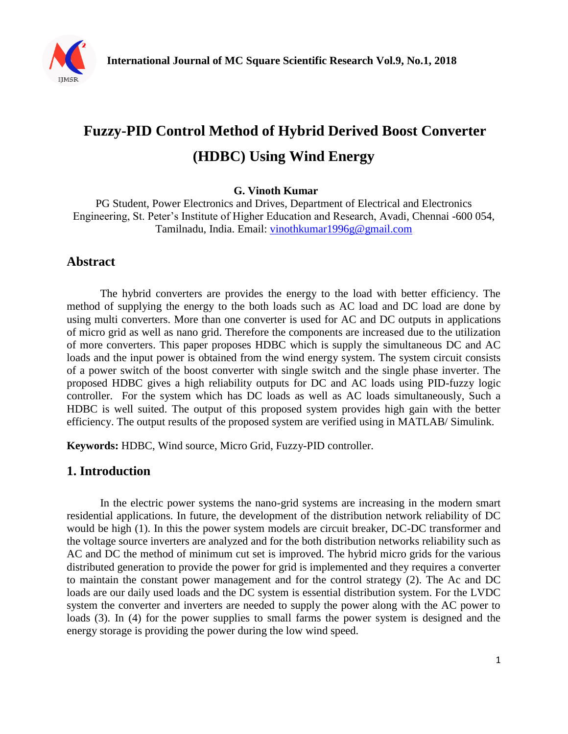

# **Fuzzy-PID Control Method of Hybrid Derived Boost Converter (HDBC) Using Wind Energy**

**G. Vinoth Kumar**

PG Student, Power Electronics and Drives, Department of Electrical and Electronics Engineering, St. Peter's Institute of Higher Education and Research, Avadi, Chennai -600 054, Tamilnadu, India. Email: [vinothkumar1996g@gmail.com](mailto:vinothkumar1996g@gmail.com)

# **Abstract**

The hybrid converters are provides the energy to the load with better efficiency. The method of supplying the energy to the both loads such as AC load and DC load are done by using multi converters. More than one converter is used for AC and DC outputs in applications of micro grid as well as nano grid. Therefore the components are increased due to the utilization of more converters. This paper proposes HDBC which is supply the simultaneous DC and AC loads and the input power is obtained from the wind energy system. The system circuit consists of a power switch of the boost converter with single switch and the single phase inverter. The proposed HDBC gives a high reliability outputs for DC and AC loads using PID-fuzzy logic controller. For the system which has DC loads as well as AC loads simultaneously, Such a HDBC is well suited. The output of this proposed system provides high gain with the better efficiency. The output results of the proposed system are verified using in MATLAB/ Simulink.

**Keywords:** HDBC, Wind source, Micro Grid, Fuzzy-PID controller.

### **1. Introduction**

In the electric power systems the nano-grid systems are increasing in the modern smart residential applications. In future, the development of the distribution network reliability of DC would be high (1). In this the power system models are circuit breaker, DC-DC transformer and the voltage source inverters are analyzed and for the both distribution networks reliability such as AC and DC the method of minimum cut set is improved. The hybrid micro grids for the various distributed generation to provide the power for grid is implemented and they requires a converter to maintain the constant power management and for the control strategy (2). The Ac and DC loads are our daily used loads and the DC system is essential distribution system. For the LVDC system the converter and inverters are needed to supply the power along with the AC power to loads (3). In (4) for the power supplies to small farms the power system is designed and the energy storage is providing the power during the low wind speed.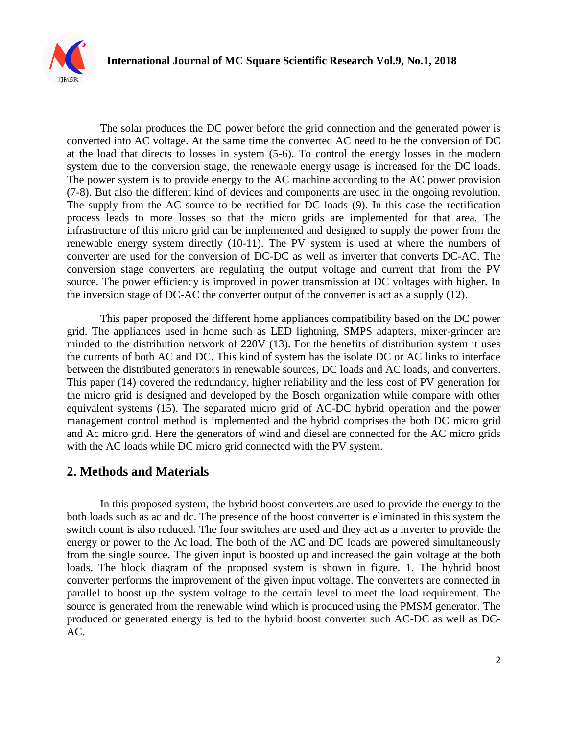

The solar produces the DC power before the grid connection and the generated power is converted into AC voltage. At the same time the converted AC need to be the conversion of DC at the load that directs to losses in system (5-6). To control the energy losses in the modern system due to the conversion stage, the renewable energy usage is increased for the DC loads. The power system is to provide energy to the AC machine according to the AC power provision (7-8). But also the different kind of devices and components are used in the ongoing revolution. The supply from the AC source to be rectified for DC loads (9). In this case the rectification process leads to more losses so that the micro grids are implemented for that area. The infrastructure of this micro grid can be implemented and designed to supply the power from the renewable energy system directly (10-11). The PV system is used at where the numbers of converter are used for the conversion of DC-DC as well as inverter that converts DC-AC. The conversion stage converters are regulating the output voltage and current that from the PV source. The power efficiency is improved in power transmission at DC voltages with higher. In the inversion stage of DC-AC the converter output of the converter is act as a supply (12).

This paper proposed the different home appliances compatibility based on the DC power grid. The appliances used in home such as LED lightning, SMPS adapters, mixer-grinder are minded to the distribution network of 220V (13). For the benefits of distribution system it uses the currents of both AC and DC. This kind of system has the isolate DC or AC links to interface between the distributed generators in renewable sources, DC loads and AC loads, and converters. This paper (14) covered the redundancy, higher reliability and the less cost of PV generation for the micro grid is designed and developed by the Bosch organization while compare with other equivalent systems (15). The separated micro grid of AC-DC hybrid operation and the power management control method is implemented and the hybrid comprises the both DC micro grid and Ac micro grid. Here the generators of wind and diesel are connected for the AC micro grids with the AC loads while DC micro grid connected with the PV system.

### **2. Methods and Materials**

In this proposed system, the hybrid boost converters are used to provide the energy to the both loads such as ac and dc. The presence of the boost converter is eliminated in this system the switch count is also reduced. The four switches are used and they act as a inverter to provide the energy or power to the Ac load. The both of the AC and DC loads are powered simultaneously from the single source. The given input is boosted up and increased the gain voltage at the both loads. The block diagram of the proposed system is shown in figure. 1. The hybrid boost converter performs the improvement of the given input voltage. The converters are connected in parallel to boost up the system voltage to the certain level to meet the load requirement. The source is generated from the renewable wind which is produced using the PMSM generator. The produced or generated energy is fed to the hybrid boost converter such AC-DC as well as DC-AC.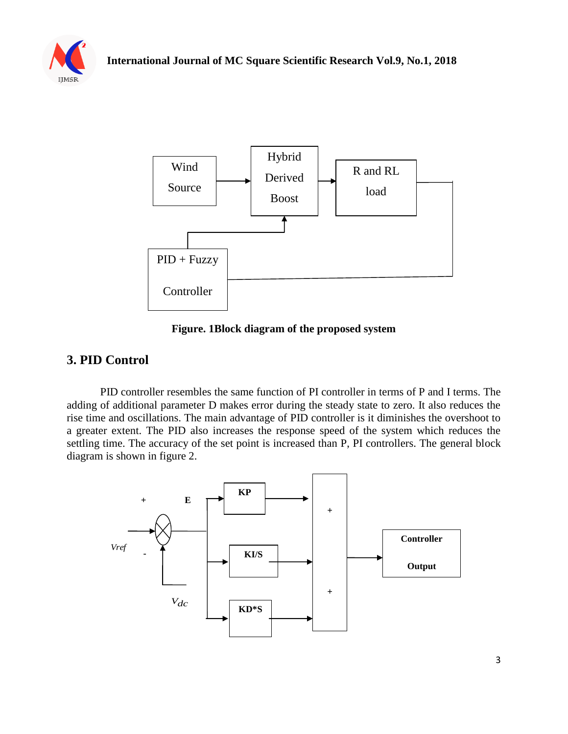



**Figure. 1Block diagram of the proposed system**

# **3. PID Control**

PID controller resembles the same function of PI controller in terms of P and I terms. The adding of additional parameter D makes error during the steady state to zero. It also reduces the rise time and oscillations. The main advantage of PID controller is it diminishes the overshoot to a greater extent. The PID also increases the response speed of the system which reduces the settling time. The accuracy of the set point is increased than P, PI controllers. The general block diagram is shown in figure 2.

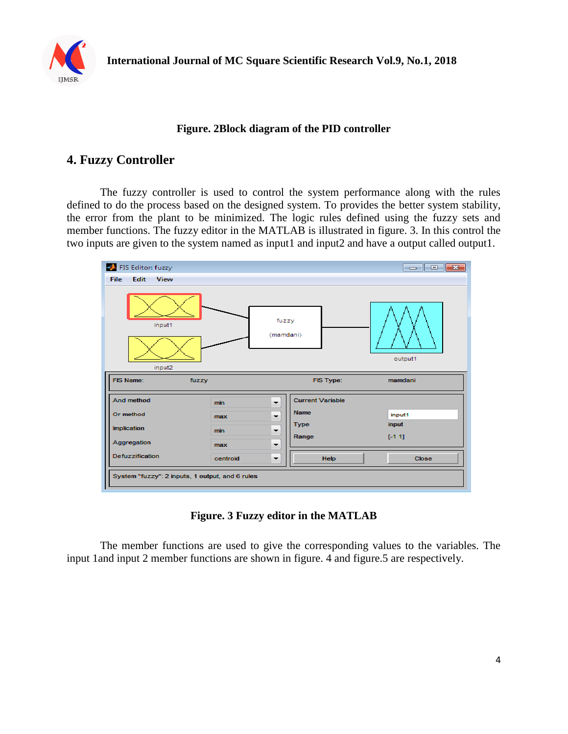

#### **Figure. 2Block diagram of the PID controller**

#### **4. Fuzzy Controller**

The fuzzy controller is used to control the system performance along with the rules defined to do the process based on the designed system. To provides the better system stability, the error from the plant to be minimized. The logic rules defined using the fuzzy sets and member functions. The fuzzy editor in the MATLAB is illustrated in figure. 3. In this control the two inputs are given to the system named as input1 and input2 and have a output called output1.

| FIS Editor: fuzzy                               |          |                                                     | $\Box$ $\Box$ $\mathbf{x}$ |
|-------------------------------------------------|----------|-----------------------------------------------------|----------------------------|
| Edit<br>File<br>View                            |          |                                                     |                            |
| input1<br>input2                                |          | fuzzy<br>(mamdani)                                  | output1                    |
| FIS Name:                                       | fuzzy    | FIS Type:                                           | mamdani                    |
| And method                                      | min      | <b>Current Variable</b><br>$\overline{\phantom{a}}$ |                            |
| Or method                                       | max      | <b>Name</b><br>۰.                                   | input1                     |
| <b>Implication</b>                              | min      | <b>Type</b><br>▼                                    | input                      |
| Aggregation                                     | max      | Range<br>۰                                          | $[-11]$                    |
| <b>Defuzzification</b>                          | centroid | <b>Help</b><br>▼                                    | <b>Close</b>               |
| System "fuzzy": 2 inputs, 1 output, and 6 rules |          |                                                     |                            |

**Figure. 3 Fuzzy editor in the MATLAB**

The member functions are used to give the corresponding values to the variables. The input 1and input 2 member functions are shown in figure. 4 and figure.5 are respectively.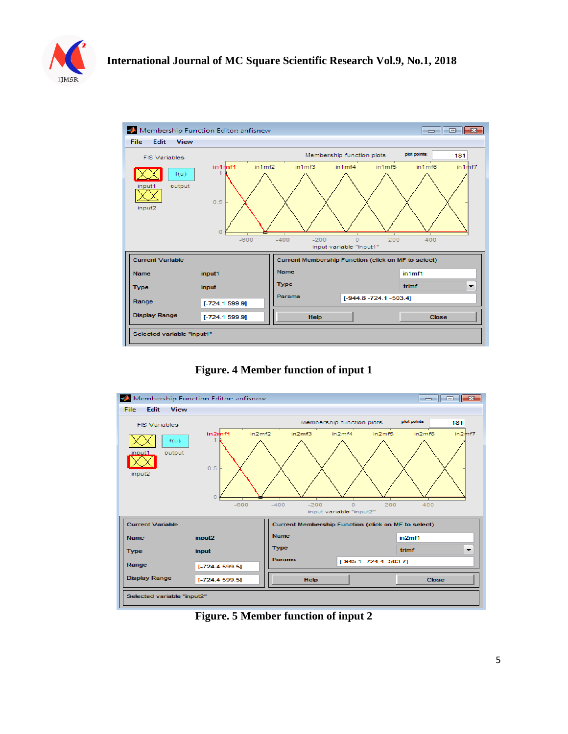



**Figure. 4 Member function of input 1**



**Figure. 5 Member function of input 2**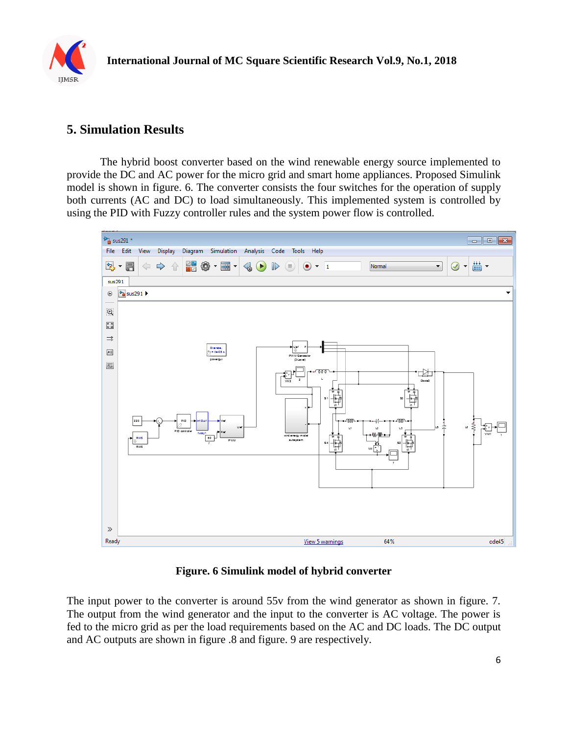

# **5. Simulation Results**

The hybrid boost converter based on the wind renewable energy source implemented to provide the DC and AC power for the micro grid and smart home appliances. Proposed Simulink model is shown in figure. 6. The converter consists the four switches for the operation of supply both currents (AC and DC) to load simultaneously. This implemented system is controlled by using the PID with Fuzzy controller rules and the system power flow is controlled.



#### **Figure. 6 Simulink model of hybrid converter**

The input power to the converter is around 55v from the wind generator as shown in figure. 7. The output from the wind generator and the input to the converter is AC voltage. The power is fed to the micro grid as per the load requirements based on the AC and DC loads. The DC output and AC outputs are shown in figure .8 and figure. 9 are respectively.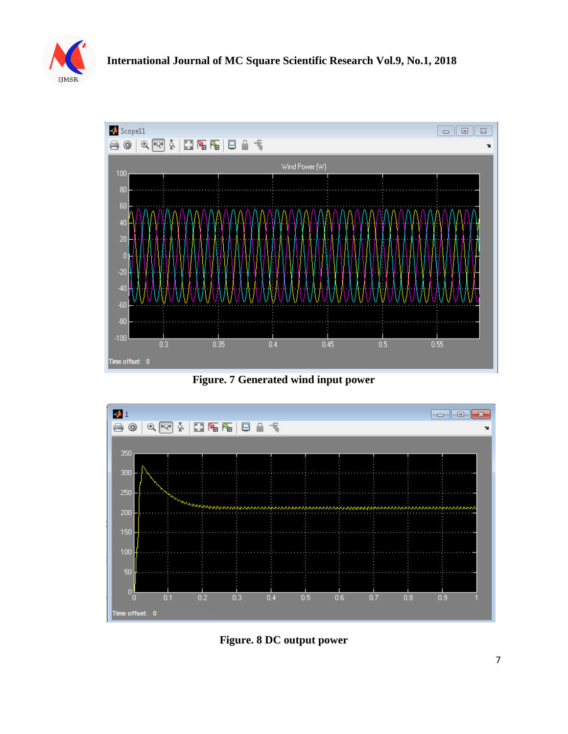



**Figure. 7 Generated wind input power**



**Figure. 8 DC output power**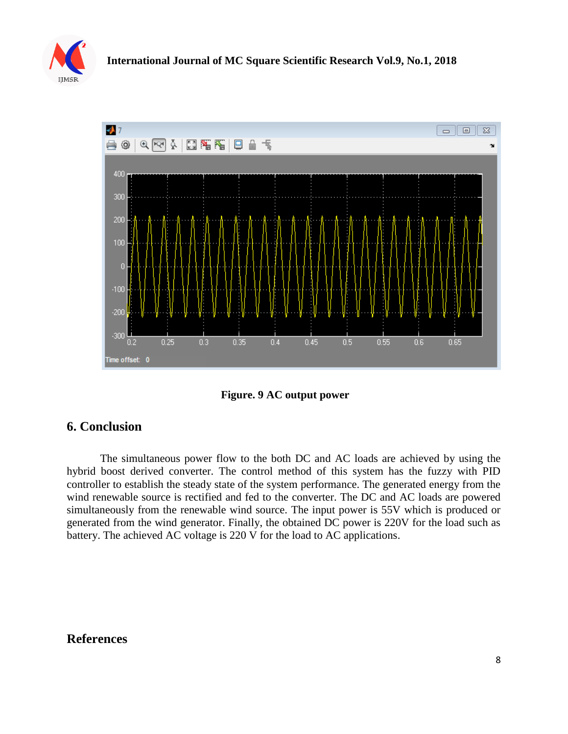



**Figure. 9 AC output power**

#### **6. Conclusion**

The simultaneous power flow to the both DC and AC loads are achieved by using the hybrid boost derived converter. The control method of this system has the fuzzy with PID controller to establish the steady state of the system performance. The generated energy from the wind renewable source is rectified and fed to the converter. The DC and AC loads are powered simultaneously from the renewable wind source. The input power is 55V which is produced or generated from the wind generator. Finally, the obtained DC power is 220V for the load such as battery. The achieved AC voltage is 220 V for the load to AC applications.

#### **References**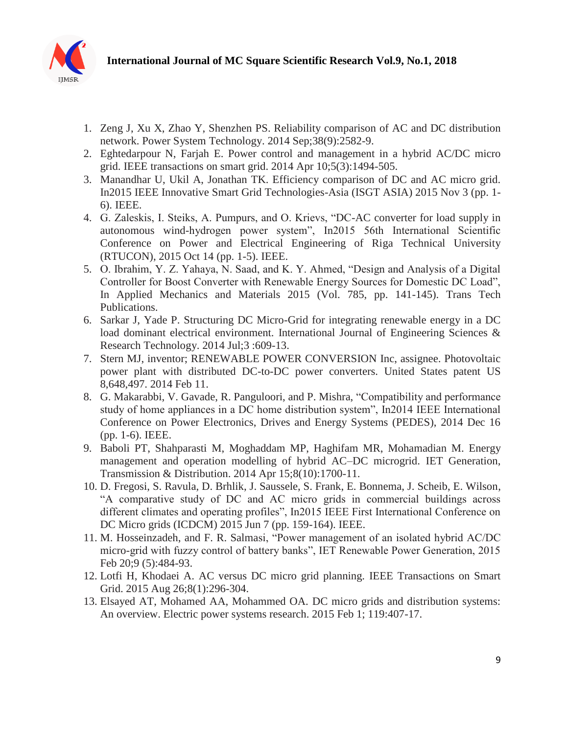

- 1. Zeng J, Xu X, Zhao Y, Shenzhen PS. Reliability comparison of AC and DC distribution network. Power System Technology. 2014 Sep;38(9):2582-9.
- 2. Eghtedarpour N, Farjah E. Power control and management in a hybrid AC/DC micro grid. IEEE transactions on smart grid. 2014 Apr 10;5(3):1494-505.
- 3. Manandhar U, Ukil A, Jonathan TK. Efficiency comparison of DC and AC micro grid. In2015 IEEE Innovative Smart Grid Technologies-Asia (ISGT ASIA) 2015 Nov 3 (pp. 1- 6). IEEE.
- 4. G. Zaleskis, I. Steiks, A. Pumpurs, and O. Krievs, "DC-AC converter for load supply in autonomous wind-hydrogen power system", In2015 56th International Scientific Conference on Power and Electrical Engineering of Riga Technical University (RTUCON), 2015 Oct 14 (pp. 1-5). IEEE.
- 5. O. Ibrahim, Y. Z. Yahaya, N. Saad, and K. Y. Ahmed, "Design and Analysis of a Digital Controller for Boost Converter with Renewable Energy Sources for Domestic DC Load", In Applied Mechanics and Materials 2015 (Vol. 785, pp. 141-145). Trans Tech Publications.
- 6. Sarkar J, Yade P. Structuring DC Micro-Grid for integrating renewable energy in a DC load dominant electrical environment. International Journal of Engineering Sciences & Research Technology. 2014 Jul;3 :609-13.
- 7. Stern MJ, inventor; RENEWABLE POWER CONVERSION Inc, assignee. Photovoltaic power plant with distributed DC-to-DC power converters. United States patent US 8,648,497. 2014 Feb 11.
- 8. G. Makarabbi, V. Gavade, R. Panguloori, and P. Mishra, "Compatibility and performance study of home appliances in a DC home distribution system", In2014 IEEE International Conference on Power Electronics, Drives and Energy Systems (PEDES), 2014 Dec 16 (pp. 1-6). IEEE.
- 9. Baboli PT, Shahparasti M, Moghaddam MP, Haghifam MR, Mohamadian M. Energy management and operation modelling of hybrid AC–DC microgrid. IET Generation, Transmission & Distribution. 2014 Apr 15;8(10):1700-11.
- 10. D. Fregosi, S. Ravula, D. Brhlik, J. Saussele, S. Frank, E. Bonnema, J. Scheib, E. Wilson, "A comparative study of DC and AC micro grids in commercial buildings across different climates and operating profiles", In2015 IEEE First International Conference on DC Micro grids (ICDCM) 2015 Jun 7 (pp. 159-164). IEEE.
- 11. M. Hosseinzadeh, and F. R. Salmasi, "Power management of an isolated hybrid AC/DC micro-grid with fuzzy control of battery banks", IET Renewable Power Generation, 2015 Feb 20;9 (5):484-93.
- 12. Lotfi H, Khodaei A. AC versus DC micro grid planning. IEEE Transactions on Smart Grid. 2015 Aug 26;8(1):296-304.
- 13. Elsayed AT, Mohamed AA, Mohammed OA. DC micro grids and distribution systems: An overview. Electric power systems research. 2015 Feb 1; 119:407-17.